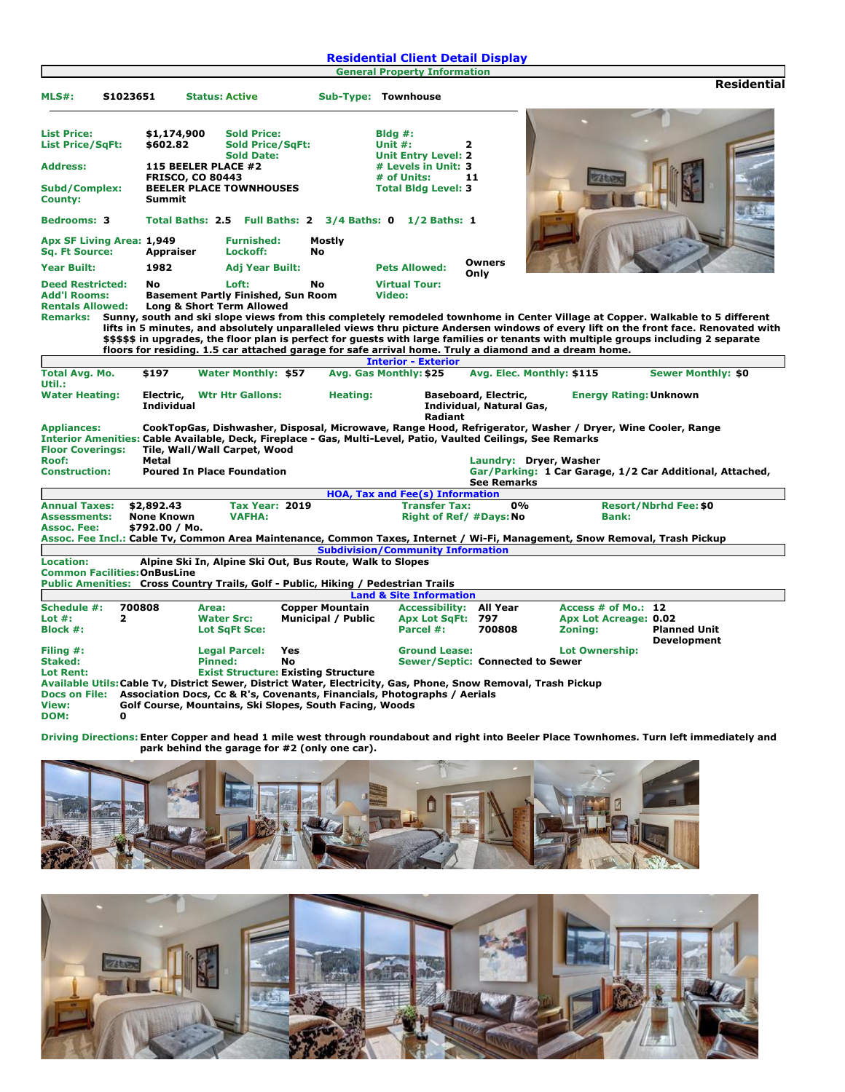## **Residential Client Detail Display**

**General Property Information MLS#: S1023651 Status: Active Sub-Type: Townhouse List Price: \$1,174,900 Sold Price: Bldg #: List Price/SqFt: \$602.82 Sold Price/SqFt: Unit #: 2 Sold Date: Unit Entry Level: 2 Address: 115 BEELER PLACE #2 # Levels in Unit: 3 FRISCO, CO 80443 # of Units: 11**  $Subd/Complex:$  **BEELER PLACE TOWNHOUSES County: Summit Bedrooms: 3 Total Baths: 2.5 Full Baths: 2 3/4 Baths: 0 1/2 Baths: 1 Apx SF Living Area: 1,949 Furnished: Mostly Sq. Ft Source: Appraiser Lockoff: No Year Built: <sup>1982</sup> Adj Year Built: Pets Allowed: Owners Only Deed Restricted: No Loft: No Virtual Tour: Basement Partly Finished, Sun Room Rentals Allowed: Long & Short Term Allowed Remarks: Sunny, south and ski slope views from this completely remodeled townhome in Center Village at Copper. Walkable to 5 different lifts in 5 minutes, and absolutely unparalleled views thru picture Andersen windows of every lift on the front face. Renovated with \$\$\$\$\$ in upgrades, the floor plan is perfect for guests with large families or tenants with multiple groups including 2 separate floors for residing. 1.5 car attached garage for safe arrival home. Truly a diamond and a dream home. Interior - Exterior Total Avg. Mo. Util.: \$197 Water Monthly: \$57 Avg. Gas Monthly: \$25 Avg. Elec. Monthly: \$115 Sewer Monthly: \$0 Water Heating: Electric, Individual Wtr Htr Gallons: Heating: Baseboard, Electric, Individual, Natural Gas, Radiant Energy Rating: Unknown Appliances: CookTopGas, Dishwasher, Disposal, Microwave, Range Hood, Refrigerator, Washer / Dryer, Wine Cooler, Range Interior Amenities: Cable Available, Deck, Fireplace - Gas, Multi-Level, Patio, Vaulted Ceilings, See Remarks Floor Coverings: Tile, Wall/Wall Carpet, Wood Roof: Metal Laundry: Dryer, Washer Construction: Poured In Place Foundation Gar/Parking: 1 Car Garage, 1/2 Car Additional, Attached, See Remarks HOA, Tax and Fee(s) Information Annual Taxes: \$2,892.43 Tax Year: 2019 Transfer Tax: 0% Resort/Nbrhd Fee: \$0 Right of Ref/ #Days: No Assoc. Fee: \$792.00 / Mo. Assoc. Fee Incl.: Cable Tv, Common Area Maintenance, Common Taxes, Internet / Wi-Fi, Management, Snow Removal, Trash Pickup Subdivision/Community Information Location: Alpine Ski In, Alpine Ski Out, Bus Route, Walk to Slopes Common Facilities:OnBusLine Public Amenities: Cross Country Trails, Golf - Public, Hiking / Pedestrian Trails Land & Site Information Schedule #: 700808 Area: Copper Mountain Accessibility: All Year Access # of Mo.: 12 Lot #: 2 Water Src: Municipal / Public Apx Lot SqFt: 797 Apx Lot Acreage: 0.02 Block #: Lot SqFt Sce: Parcel #: 700808 Zoning: Planned Unit Development Filing #: Legal Parcel: Yes Ground Lease: Lot Ownership: Staked: Pinned: No Sewer/Septic: Connected to Sewer**

**Lot Rent: Exist Structure: Existing Structure Available Utils:Cable Tv, District Sewer, District Water, Electricity, Gas, Phone, Snow Removal, Trash Pickup Docs on File: Association Docs, Cc & R's, Covenants, Financials, Photographs / Aerials View: Golf Course, Mountains, Ski Slopes, South Facing, Woods DOM: 0**

**Driving Directions: Enter Copper and head 1 mile west through roundabout and right into Beeler Place Townhomes. Turn left immediately and park behind the garage for #2 (only one car).**



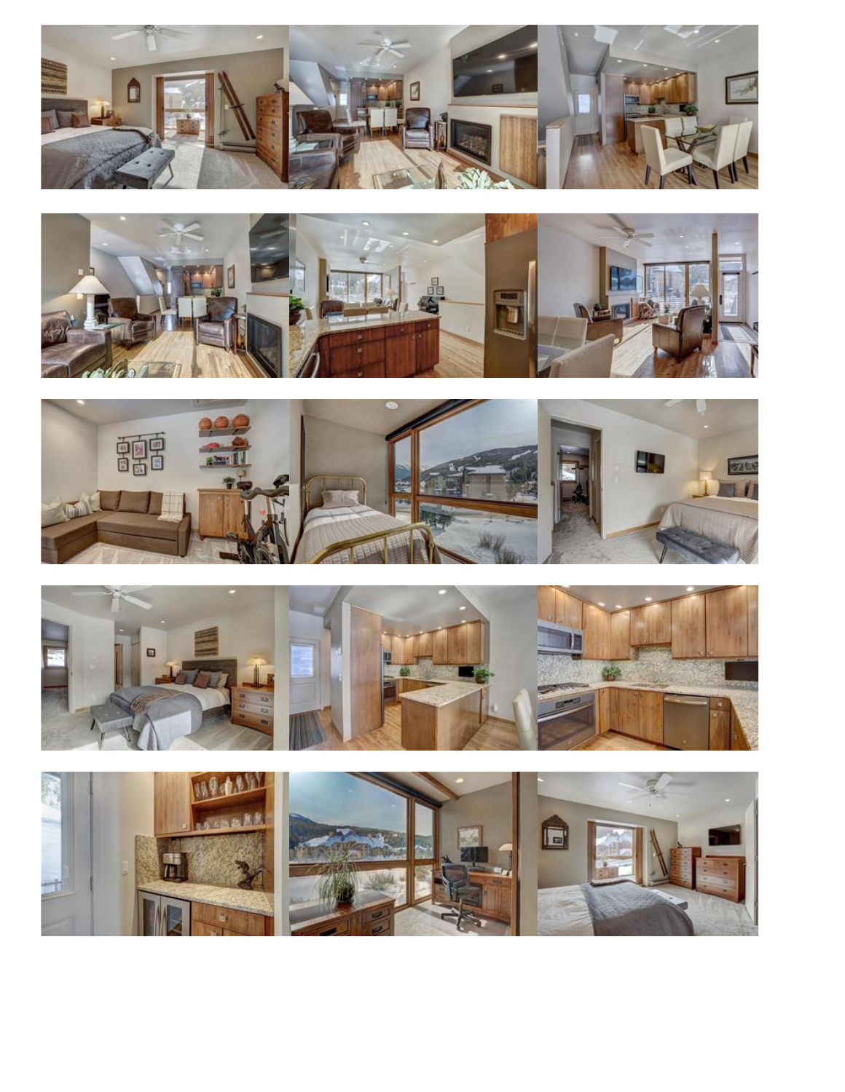